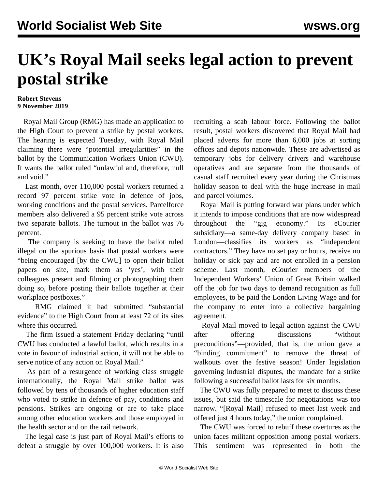## **UK's Royal Mail seeks legal action to prevent postal strike**

## **Robert Stevens 9 November 2019**

 Royal Mail Group (RMG) has made an application to the High Court to prevent a strike by postal workers. The hearing is expected Tuesday, with Royal Mail claiming there were "potential irregularities" in the ballot by the Communication Workers Union (CWU). It wants the ballot ruled "unlawful and, therefore, null and void."

 Last month, over 110,000 postal workers returned a record 97 percent strike vote in defence of jobs, working conditions and the postal services. Parcelforce members also delivered a 95 percent strike vote across two separate ballots. The turnout in the ballot was 76 percent.

 The company is seeking to have the ballot ruled illegal on the spurious basis that postal workers were "being encouraged [by the CWU] to open their ballot papers on site, mark them as 'yes', with their colleagues present and filming or photographing them doing so, before posting their ballots together at their workplace postboxes."

 RMG claimed it had submitted "substantial evidence" to the High Court from at least 72 of its sites where this occurred.

 The firm issued a statement Friday declaring "until CWU has conducted a lawful ballot, which results in a vote in favour of industrial action, it will not be able to serve notice of any action on Royal Mail."

 As part of a resurgence of working class struggle internationally, the Royal Mail strike ballot was followed by [tens of thousands](/en/articles/2019/11/04/unis-n04.html) of higher education staff who voted to strike in defence of pay, conditions and pensions. Strikes are ongoing or are to take place among other education workers and those employed in the health sector and on the rail network.

 The legal case is just part of Royal Mail's efforts to defeat a struggle by over 100,000 workers. It is also recruiting a scab labour force. Following the ballot result, postal workers discovered that Royal Mail had placed adverts for more than 6,000 jobs at sorting offices and depots nationwide. These are advertised as temporary jobs for delivery drivers and warehouse operatives and are separate from the thousands of casual staff recruited every year during the Christmas holiday season to deal with the huge increase in mail and parcel volumes.

 Royal Mail is putting forward war plans under which it intends to impose conditions that are now widespread throughout the "gig economy." Its eCourier subsidiary—a same-day delivery company based in London—classifies its workers as "independent contractors." They have no set pay or hours, receive no holiday or sick pay and are not enrolled in a pension scheme. Last month, eCourier members of the Independent Workers' Union of Great Britain walked off the job for two days to demand recognition as full employees, to be paid the London Living Wage and for the company to enter into a collective bargaining agreement.

 Royal Mail moved to legal action against the CWU after offering discussions "without preconditions"—provided, that is, the union gave a "binding commitment" to remove the threat of walkouts over the festive season! Under legislation governing industrial disputes, the mandate for a strike following a successful ballot lasts for six months.

 The CWU was fully prepared to meet to discuss these issues, but said the timescale for negotiations was too narrow. "[Royal Mail] refused to meet last week and offered just 4 hours today," the union complained.

 The CWU was forced to rebuff these overtures as the union faces militant opposition among postal workers. This sentiment was represented in both the